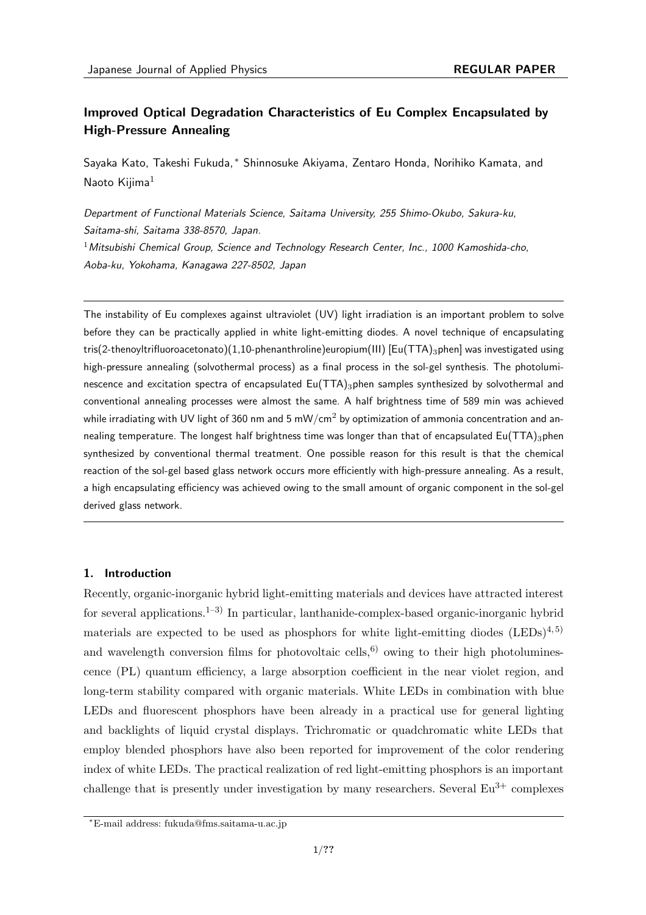# **Improved Optical Degradation Characteristics of Eu Complex Encapsulated by High-Pressure Annealing**

Sayaka Kato, Takeshi Fukuda, *∗* Shinnosuke Akiyama, Zentaro Honda, Norihiko Kamata, and Naoto Kijima<sup>1</sup>

*Department of Functional Materials Science, Saitama University, 255 Shimo-Okubo, Sakura-ku, Saitama-shi, Saitama 338-8570, Japan.* <sup>1</sup>*Mitsubishi Chemical Group, Science and Technology Research Center, Inc., 1000 Kamoshida-cho, Aoba-ku, Yokohama, Kanagawa 227-8502, Japan*

The instability of Eu complexes against ultraviolet (UV) light irradiation is an important problem to solve before they can be practically applied in white light-emitting diodes. A novel technique of encapsulating tris(2-thenoyltrifluoroacetonato)(1,10-phenanthroline)europium(III) [Eu(TTA)<sub>3</sub>phen] was investigated using high-pressure annealing (solvothermal process) as a final process in the sol-gel synthesis. The photoluminescence and excitation spectra of encapsulated  $Eu(TTA)$ 3phen samples synthesized by solvothermal and conventional annealing processes were almost the same. A half brightness time of 589 min was achieved while irradiating with UV light of 360 nm and 5 mW/cm<sup>2</sup> by optimization of ammonia concentration and annealing temperature. The longest half brightness time was longer than that of encapsulated Eu(TTA)<sub>3</sub>phen synthesized by conventional thermal treatment. One possible reason for this result is that the chemical reaction of the sol-gel based glass network occurs more efficiently with high-pressure annealing. As a result, a high encapsulating efficiency was achieved owing to the small amount of organic component in the sol-gel derived glass network.

## **1. Introduction**

Recently, organic-inorganic hybrid light-emitting materials and devices have attracted interest for several applications.<sup>1–3)</sup> In particular, lanthanide-complex-based organic-inorganic hybrid materials are expected to be used as phosphors for white light-emitting diodes  $(LEDs)^{4, 5}$ and wavelength conversion films for photovoltaic cells,<sup>6)</sup> owing to their high photoluminescence (PL) quantum efficiency, a large absorption coefficient in the near violet region, and long-term stability compared with organic materials. White LEDs in combination with blue LEDs and fluorescent phosphors have been already in a practical use for general lighting and backlights of liquid crystal displays. Trichromatic or quadchromatic white LEDs that employ blended phosphors have also been reported for improvement of the color rendering index of white LEDs. The practical realization of red light-emitting phosphors is an important challenge that is presently under investigation by many researchers. Several  $Eu^{3+}$  complexes

*<sup>∗</sup>*E-mail address: fukuda@fms.saitama-u.ac.jp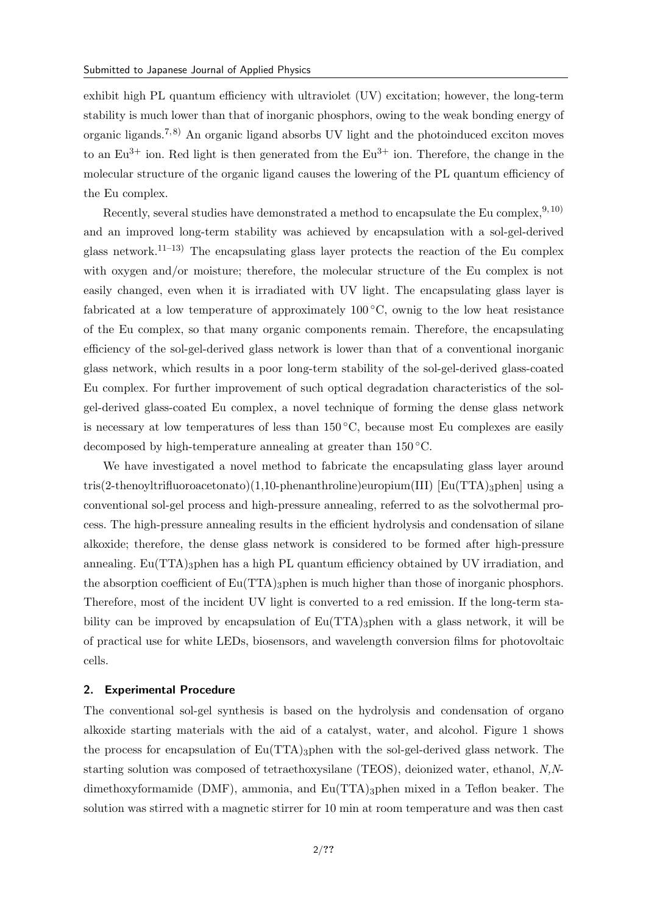exhibit high PL quantum efficiency with ultraviolet (UV) excitation; however, the long-term stability is much lower than that of inorganic phosphors, owing to the weak bonding energy of organic ligands.<sup>7,8)</sup> An organic ligand absorbs UV light and the photoinduced exciton moves to an  $Eu^{3+}$  ion. Red light is then generated from the  $Eu^{3+}$  ion. Therefore, the change in the molecular structure of the organic ligand causes the lowering of the PL quantum efficiency of the Eu complex.

Recently, several studies have demonstrated a method to encapsulate the Eu complex,  $9,10$ ) and an improved long-term stability was achieved by encapsulation with a sol-gel-derived glass network.11–13) The encapsulating glass layer protects the reaction of the Eu complex with oxygen and/or moisture; therefore, the molecular structure of the Eu complex is not easily changed, even when it is irradiated with UV light. The encapsulating glass layer is fabricated at a low temperature of approximately 100 *◦*C, ownig to the low heat resistance of the Eu complex, so that many organic components remain. Therefore, the encapsulating efficiency of the sol-gel-derived glass network is lower than that of a conventional inorganic glass network, which results in a poor long-term stability of the sol-gel-derived glass-coated Eu complex. For further improvement of such optical degradation characteristics of the solgel-derived glass-coated Eu complex, a novel technique of forming the dense glass network is necessary at low temperatures of less than 150 *◦*C, because most Eu complexes are easily decomposed by high-temperature annealing at greater than 150 *◦*C.

We have investigated a novel method to fabricate the encapsulating glass layer around tris(2-thenoyltrifluoroacetonato)(1,10-phenanthroline)europium(III) [Eu(TTA)<sub>3</sub>phen] using a conventional sol-gel process and high-pressure annealing, referred to as the solvothermal process. The high-pressure annealing results in the efficient hydrolysis and condensation of silane alkoxide; therefore, the dense glass network is considered to be formed after high-pressure annealing.  $Eu(TTA)$ <sub>3</sub>phen has a high PL quantum efficiency obtained by UV irradiation, and the absorption coefficient of  $Eu(TTA)$ <sub>3</sub>phen is much higher than those of inorganic phosphors. Therefore, most of the incident UV light is converted to a red emission. If the long-term stability can be improved by encapsulation of  $Eu(TTA)$ <sub>3</sub>phen with a glass network, it will be of practical use for white LEDs, biosensors, and wavelength conversion films for photovoltaic cells.

### **2. Experimental Procedure**

The conventional sol-gel synthesis is based on the hydrolysis and condensation of organo alkoxide starting materials with the aid of a catalyst, water, and alcohol. Figure 1 shows the process for encapsulation of  $Eu(TTA)$ <sub>3</sub>phen with the sol-gel-derived glass network. The starting solution was composed of tetraethoxysilane (TEOS), deionized water, ethanol, *N,N*dimethoxyformamide (DMF), ammonia, and  $Eu(TTA)$ <sub>3</sub>phen mixed in a Teflon beaker. The solution was stirred with a magnetic stirrer for 10 min at room temperature and was then cast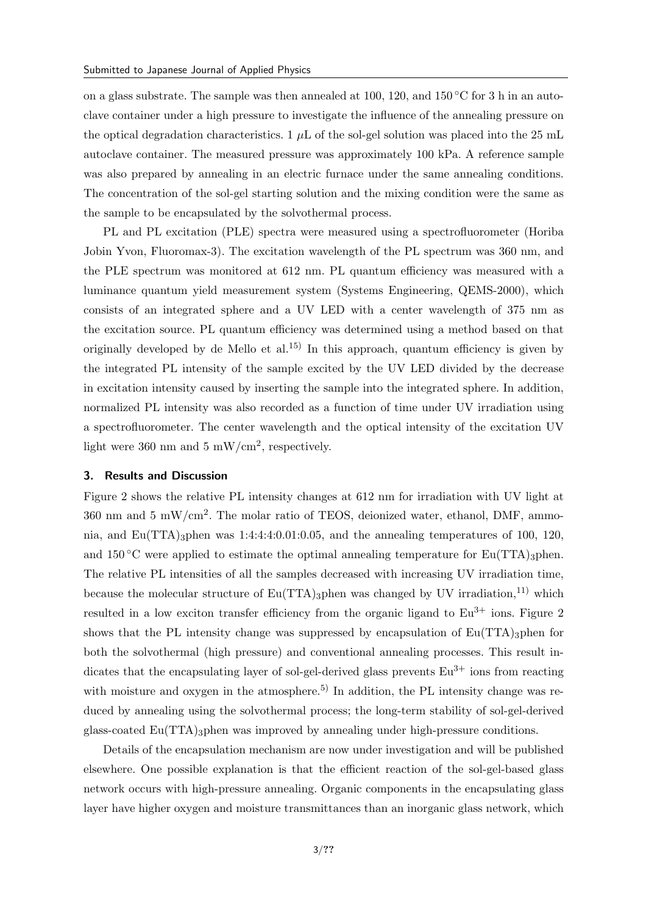on a glass substrate. The sample was then annealed at 100, 120, and 150 *◦*C for 3 h in an autoclave container under a high pressure to investigate the influence of the annealing pressure on the optical degradation characteristics. 1  $\mu$ L of the sol-gel solution was placed into the 25 mL autoclave container. The measured pressure was approximately 100 kPa. A reference sample was also prepared by annealing in an electric furnace under the same annealing conditions. The concentration of the sol-gel starting solution and the mixing condition were the same as the sample to be encapsulated by the solvothermal process.

PL and PL excitation (PLE) spectra were measured using a spectrofluorometer (Horiba Jobin Yvon, Fluoromax-3). The excitation wavelength of the PL spectrum was 360 nm, and the PLE spectrum was monitored at 612 nm. PL quantum efficiency was measured with a luminance quantum yield measurement system (Systems Engineering, QEMS-2000), which consists of an integrated sphere and a UV LED with a center wavelength of 375 nm as the excitation source. PL quantum efficiency was determined using a method based on that originally developed by de Mello et al.<sup>15)</sup> In this approach, quantum efficiency is given by the integrated PL intensity of the sample excited by the UV LED divided by the decrease in excitation intensity caused by inserting the sample into the integrated sphere. In addition, normalized PL intensity was also recorded as a function of time under UV irradiation using a spectrofluorometer. The center wavelength and the optical intensity of the excitation UV light were 360 nm and 5 mW/cm<sup>2</sup>, respectively.

#### **3. Results and Discussion**

Figure 2 shows the relative PL intensity changes at 612 nm for irradiation with UV light at 360 nm and 5 mW/cm<sup>2</sup> . The molar ratio of TEOS, deionized water, ethanol, DMF, ammonia, and  $Eu(TTA)$ <sub>3</sub>phen was  $1:4:4:4:0.01:0.05$ , and the annealing temperatures of 100, 120, and  $150\,^{\circ}\text{C}$  were applied to estimate the optimal annealing temperature for Eu(TTA)<sub>3</sub>phen. The relative PL intensities of all the samples decreased with increasing UV irradiation time, because the molecular structure of  $Eu(TTA)$ <sub>3</sub>phen was changed by UV irradiation,<sup>11)</sup> which resulted in a low exciton transfer efficiency from the organic ligand to  $Eu^{3+}$  ions. Figure 2 shows that the PL intensity change was suppressed by encapsulation of  $Eu(TTA)$ <sub>3</sub>phen for both the solvothermal (high pressure) and conventional annealing processes. This result indicates that the encapsulating layer of sol-gel-derived glass prevents  $Eu^{3+}$  ions from reacting with moisture and oxygen in the atmosphere.<sup>5)</sup> In addition, the PL intensity change was reduced by annealing using the solvothermal process; the long-term stability of sol-gel-derived glass-coated Eu(TTA)3phen was improved by annealing under high-pressure conditions.

Details of the encapsulation mechanism are now under investigation and will be published elsewhere. One possible explanation is that the efficient reaction of the sol-gel-based glass network occurs with high-pressure annealing. Organic components in the encapsulating glass layer have higher oxygen and moisture transmittances than an inorganic glass network, which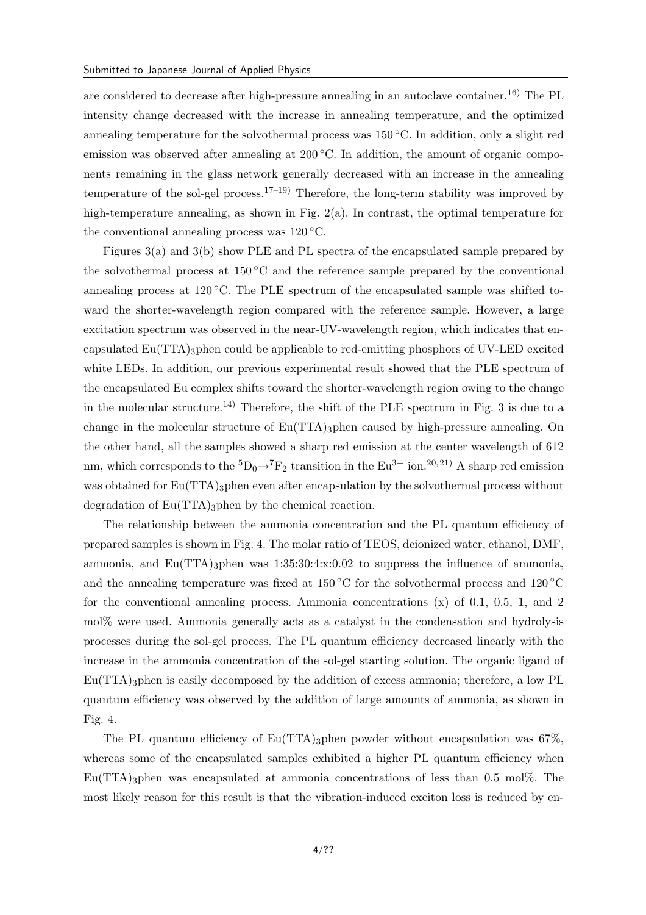are considered to decrease after high-pressure annealing in an autoclave container.<sup>16)</sup> The PL intensity change decreased with the increase in annealing temperature, and the optimized annealing temperature for the solvothermal process was 150 *◦*C. In addition, only a slight red emission was observed after annealing at 200 °C. In addition, the amount of organic components remaining in the glass network generally decreased with an increase in the annealing temperature of the sol-gel process.<sup>17–19</sup> Therefore, the long-term stability was improved by high-temperature annealing, as shown in Fig. 2(a). In contrast, the optimal temperature for the conventional annealing process was 120 *◦*C.

Figures 3(a) and 3(b) show PLE and PL spectra of the encapsulated sample prepared by the solvothermal process at 150 *◦*C and the reference sample prepared by the conventional annealing process at 120 *◦*C. The PLE spectrum of the encapsulated sample was shifted toward the shorter-wavelength region compared with the reference sample. However, a large excitation spectrum was observed in the near-UV-wavelength region, which indicates that encapsulated  $Eu(TTA)$ <sub>3</sub>phen could be applicable to red-emitting phosphors of UV-LED excited white LEDs. In addition, our previous experimental result showed that the PLE spectrum of the encapsulated Eu complex shifts toward the shorter-wavelength region owing to the change in the molecular structure.<sup>14)</sup> Therefore, the shift of the PLE spectrum in Fig. 3 is due to a change in the molecular structure of  $Eu(TTA)$ <sub>3</sub>phen caused by high-pressure annealing. On the other hand, all the samples showed a sharp red emission at the center wavelength of 612 nm, which corresponds to the  ${}^5D_0\rightarrow {}^7F_2$  transition in the Eu<sup>3+</sup> ion.<sup>20, 21</sup>) A sharp red emission was obtained for  $Eu(TTA)$ <sub>3</sub>phen even after encapsulation by the solvothermal process without degradation of  $Eu(TTA)$ <sub>3</sub>phen by the chemical reaction.

The relationship between the ammonia concentration and the PL quantum efficiency of prepared samples is shown in Fig. 4. The molar ratio of TEOS, deionized water, ethanol, DMF, ammonia, and  $Eu(TTA)$ <sub>3</sub>phen was  $1:35:30:4:x:0.02$  to suppress the influence of ammonia, and the annealing temperature was fixed at 150 *◦*C for the solvothermal process and 120 *◦*C for the conventional annealing process. Ammonia concentrations  $(x)$  of 0.1, 0.5, 1, and 2 mol% were used. Ammonia generally acts as a catalyst in the condensation and hydrolysis processes during the sol-gel process. The PL quantum efficiency decreased linearly with the increase in the ammonia concentration of the sol-gel starting solution. The organic ligand of  $Eu(TTA)$ <sub>3</sub>phen is easily decomposed by the addition of excess ammonia; therefore, a low PL quantum efficiency was observed by the addition of large amounts of ammonia, as shown in Fig. 4.

The PL quantum efficiency of  $Eu(TTA)$ <sub>3</sub>phen powder without encapsulation was 67%, whereas some of the encapsulated samples exhibited a higher PL quantum efficiency when  $Eu(TTA)$ <sub>3</sub>phen was encapsulated at ammonia concentrations of less than 0.5 mol%. The most likely reason for this result is that the vibration-induced exciton loss is reduced by en-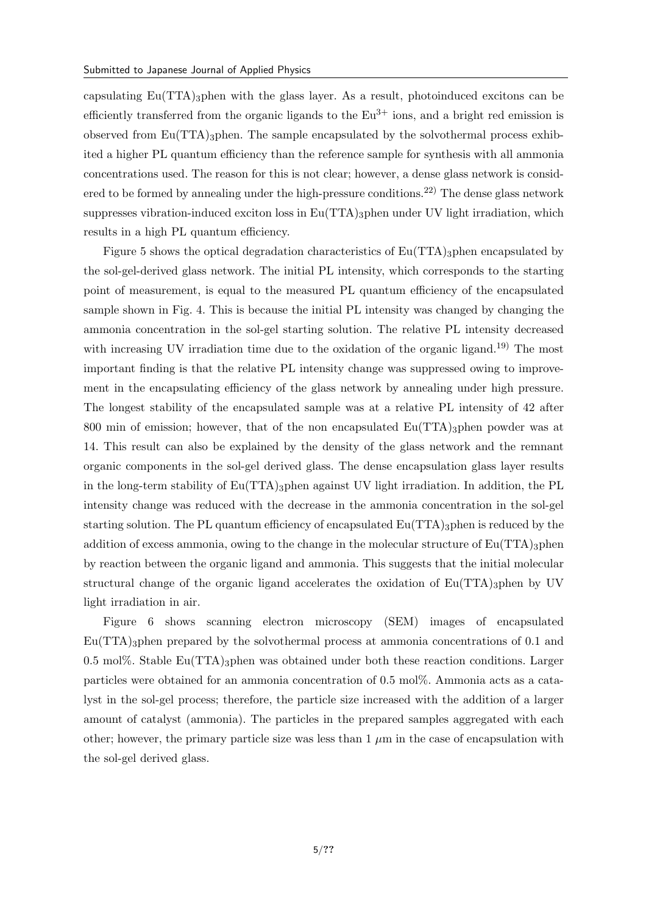capsulating  $Eu(TTA)$ <sub>3</sub>phen with the glass layer. As a result, photoinduced excitons can be efficiently transferred from the organic ligands to the  $Eu^{3+}$  ions, and a bright red emission is observed from  $Eu(TTA)$ <sub>3</sub>phen. The sample encapsulated by the solvothermal process exhibited a higher PL quantum efficiency than the reference sample for synthesis with all ammonia concentrations used. The reason for this is not clear; however, a dense glass network is considered to be formed by annealing under the high-pressure conditions.<sup>22)</sup> The dense glass network suppresses vibration-induced exciton loss in  $Eu(TTA)$ <sub>3</sub>phen under UV light irradiation, which results in a high PL quantum efficiency.

Figure 5 shows the optical degradation characteristics of  $Eu(TTA)$ <sub>3</sub>phen encapsulated by the sol-gel-derived glass network. The initial PL intensity, which corresponds to the starting point of measurement, is equal to the measured PL quantum efficiency of the encapsulated sample shown in Fig. 4. This is because the initial PL intensity was changed by changing the ammonia concentration in the sol-gel starting solution. The relative PL intensity decreased with increasing UV irradiation time due to the oxidation of the organic ligand.<sup>19)</sup> The most important finding is that the relative PL intensity change was suppressed owing to improvement in the encapsulating efficiency of the glass network by annealing under high pressure. The longest stability of the encapsulated sample was at a relative PL intensity of 42 after 800 min of emission; however, that of the non encapsulated  $Eu(TTA)$ <sub>3</sub>phen powder was at 14. This result can also be explained by the density of the glass network and the remnant organic components in the sol-gel derived glass. The dense encapsulation glass layer results in the long-term stability of  $Eu(TTA)$ <sub>3</sub>phen against UV light irradiation. In addition, the PL intensity change was reduced with the decrease in the ammonia concentration in the sol-gel starting solution. The PL quantum efficiency of encapsulated  $Eu(TTA)$ <sub>3</sub>phen is reduced by the addition of excess ammonia, owing to the change in the molecular structure of  $Eu(TTA)$ <sub>3</sub>phen by reaction between the organic ligand and ammonia. This suggests that the initial molecular structural change of the organic ligand accelerates the oxidation of  $Eu(TTA)$ <sub>3</sub>phen by UV light irradiation in air.

Figure 6 shows scanning electron microscopy (SEM) images of encapsulated  $Eu(TTA)$ <sub>3</sub>phen prepared by the solvothermal process at ammonia concentrations of 0.1 and 0.5 mol%. Stable Eu(TTA)<sub>3</sub>phen was obtained under both these reaction conditions. Larger particles were obtained for an ammonia concentration of 0.5 mol%. Ammonia acts as a catalyst in the sol-gel process; therefore, the particle size increased with the addition of a larger amount of catalyst (ammonia). The particles in the prepared samples aggregated with each other; however, the primary particle size was less than  $1 \mu m$  in the case of encapsulation with the sol-gel derived glass.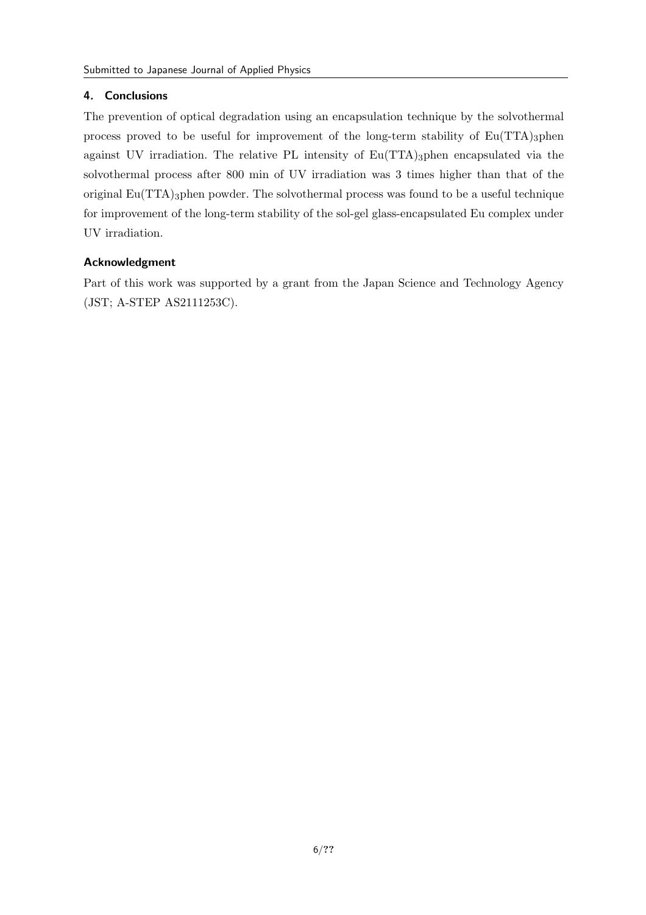## **4. Conclusions**

The prevention of optical degradation using an encapsulation technique by the solvothermal process proved to be useful for improvement of the long-term stability of  $Eu(TTA)$ <sub>3</sub>phen against UV irradiation. The relative PL intensity of  $Eu(TTA)$ <sub>3</sub>phen encapsulated via the solvothermal process after 800 min of UV irradiation was 3 times higher than that of the original Eu(TTA)3phen powder. The solvothermal process was found to be a useful technique for improvement of the long-term stability of the sol-gel glass-encapsulated Eu complex under UV irradiation.

## **Acknowledgment**

Part of this work was supported by a grant from the Japan Science and Technology Agency (JST; A-STEP AS2111253C).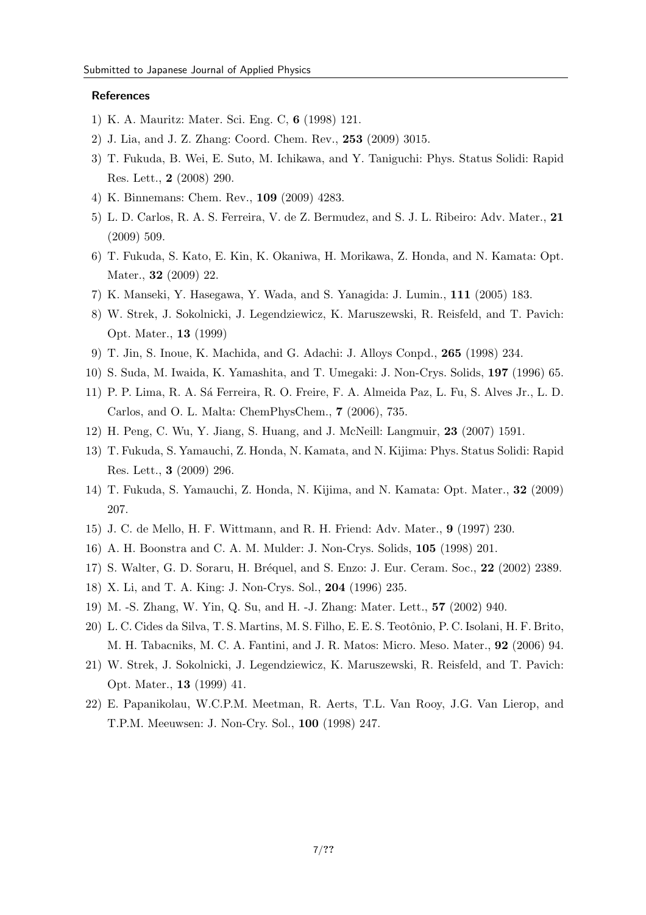#### **References**

- 1) K. A. Mauritz: Mater. Sci. Eng. C, **6** (1998) 121.
- 2) J. Lia, and J. Z. Zhang: Coord. Chem. Rev., **253** (2009) 3015.
- 3) T. Fukuda, B. Wei, E. Suto, M. Ichikawa, and Y. Taniguchi: Phys. Status Solidi: Rapid Res. Lett., **2** (2008) 290.
- 4) K. Binnemans: Chem. Rev., **109** (2009) 4283.
- 5) L. D. Carlos, R. A. S. Ferreira, V. de Z. Bermudez, and S. J. L. Ribeiro: Adv. Mater., **21** (2009) 509.
- 6) T. Fukuda, S. Kato, E. Kin, K. Okaniwa, H. Morikawa, Z. Honda, and N. Kamata: Opt. Mater., **32** (2009) 22.
- 7) K. Manseki, Y. Hasegawa, Y. Wada, and S. Yanagida: J. Lumin., **111** (2005) 183.
- 8) W. Strek, J. Sokolnicki, J. Legendziewicz, K. Maruszewski, R. Reisfeld, and T. Pavich: Opt. Mater., **13** (1999)
- 9) T. Jin, S. Inoue, K. Machida, and G. Adachi: J. Alloys Conpd., **265** (1998) 234.
- 10) S. Suda, M. Iwaida, K. Yamashita, and T. Umegaki: J. Non-Crys. Solids, **197** (1996) 65.
- 11) P. P. Lima, R. A. S´a Ferreira, R. O. Freire, F. A. Almeida Paz, L. Fu, S. Alves Jr., L. D. Carlos, and O. L. Malta: ChemPhysChem., **7** (2006), 735.
- 12) H. Peng, C. Wu, Y. Jiang, S. Huang, and J. McNeill: Langmuir, **23** (2007) 1591.
- 13) T. Fukuda, S. Yamauchi, Z. Honda, N. Kamata, and N. Kijima: Phys. Status Solidi: Rapid Res. Lett., **3** (2009) 296.
- 14) T. Fukuda, S. Yamauchi, Z. Honda, N. Kijima, and N. Kamata: Opt. Mater., **32** (2009) 207.
- 15) J. C. de Mello, H. F. Wittmann, and R. H. Friend: Adv. Mater., **9** (1997) 230.
- 16) A. H. Boonstra and C. A. M. Mulder: J. Non-Crys. Solids, **105** (1998) 201.
- 17) S. Walter, G. D. Soraru, H. Br´equel, and S. Enzo: J. Eur. Ceram. Soc., **22** (2002) 2389.
- 18) X. Li, and T. A. King: J. Non-Crys. Sol., **204** (1996) 235.
- 19) M. -S. Zhang, W. Yin, Q. Su, and H. -J. Zhang: Mater. Lett., **57** (2002) 940.
- 20) L. C. Cides da Silva, T. S. Martins, M. S. Filho, E. E. S. Teotˆonio, P. C. Isolani, H. F. Brito, M. H. Tabacniks, M. C. A. Fantini, and J. R. Matos: Micro. Meso. Mater., **92** (2006) 94.
- 21) W. Strek, J. Sokolnicki, J. Legendziewicz, K. Maruszewski, R. Reisfeld, and T. Pavich: Opt. Mater., **13** (1999) 41.
- 22) E. Papanikolau, W.C.P.M. Meetman, R. Aerts, T.L. Van Rooy, J.G. Van Lierop, and T.P.M. Meeuwsen: J. Non-Cry. Sol., **100** (1998) 247.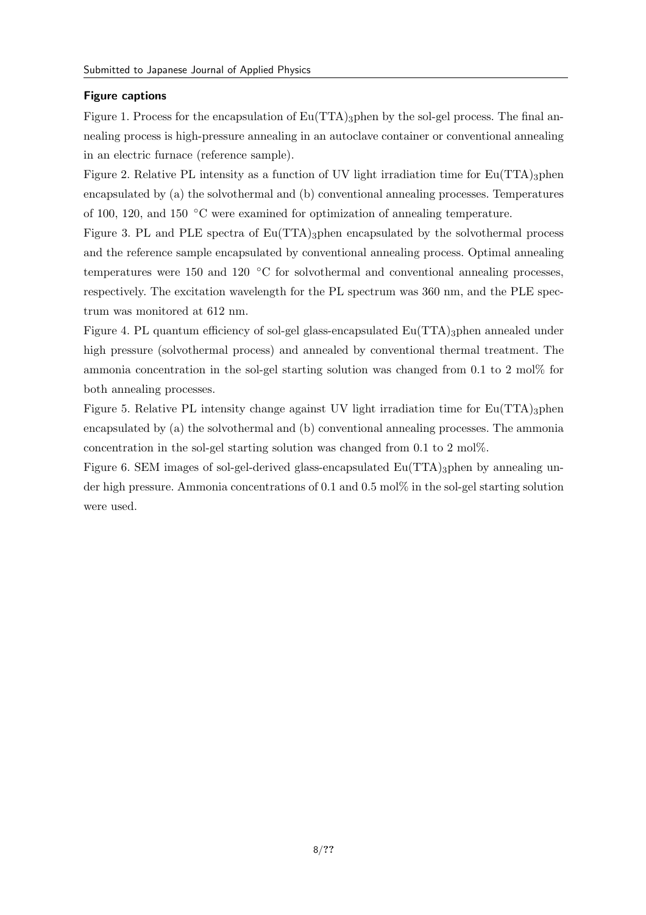## **Figure captions**

Figure 1. Process for the encapsulation of  $Eu(TTA)$ <sub>3</sub>phen by the sol-gel process. The final annealing process is high-pressure annealing in an autoclave container or conventional annealing in an electric furnace (reference sample).

Figure 2. Relative PL intensity as a function of UV light irradiation time for  $Eu(TTA)$ <sub>3</sub>phen encapsulated by (a) the solvothermal and (b) conventional annealing processes. Temperatures of 100, 120, and 150 *◦*C were examined for optimization of annealing temperature.

Figure 3. PL and PLE spectra of  $Eu(TTA)$ <sub>3</sub>phen encapsulated by the solvothermal process and the reference sample encapsulated by conventional annealing process. Optimal annealing temperatures were 150 and 120 *◦*C for solvothermal and conventional annealing processes, respectively. The excitation wavelength for the PL spectrum was 360 nm, and the PLE spectrum was monitored at 612 nm.

Figure 4. PL quantum efficiency of sol-gel glass-encapsulated  $Eu(TTA)$ <sub>3</sub>phen annealed under high pressure (solvothermal process) and annealed by conventional thermal treatment. The ammonia concentration in the sol-gel starting solution was changed from 0.1 to 2 mol% for both annealing processes.

Figure 5. Relative PL intensity change against UV light irradiation time for  $Eu(TTA)$ <sub>3</sub>phen encapsulated by (a) the solvothermal and (b) conventional annealing processes. The ammonia concentration in the sol-gel starting solution was changed from 0.1 to 2 mol%.

Figure 6. SEM images of sol-gel-derived glass-encapsulated  $Eu(TTA)$ <sub>3</sub>phen by annealing under high pressure. Ammonia concentrations of 0.1 and 0.5 mol% in the sol-gel starting solution were used.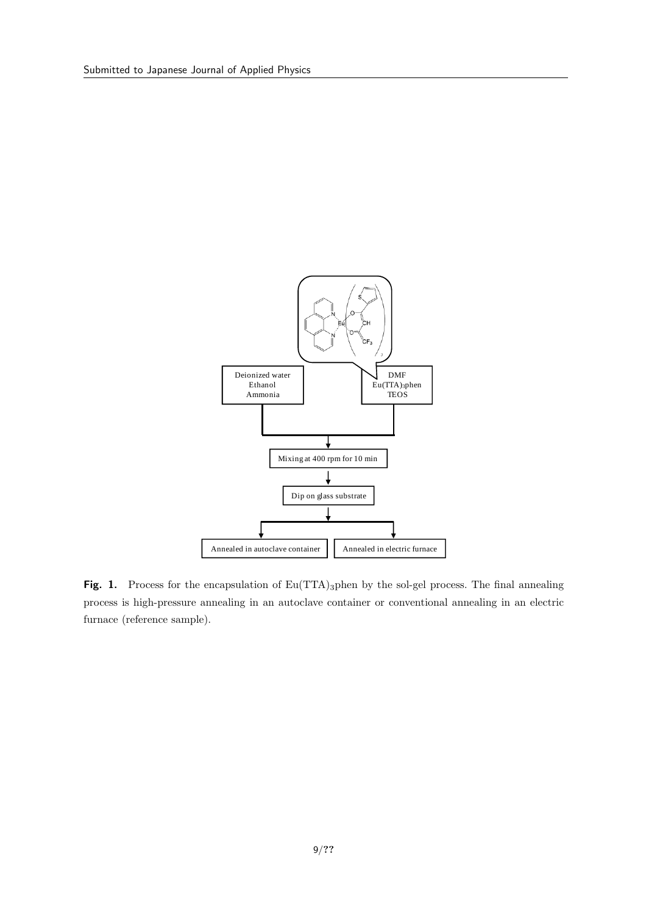

Fig. 1. Process for the encapsulation of Eu(TTA)<sub>3</sub>phen by the sol-gel process. The final annealing process is high-pressure annealing in an autoclave container or conventional annealing in an electric furnace (reference sample).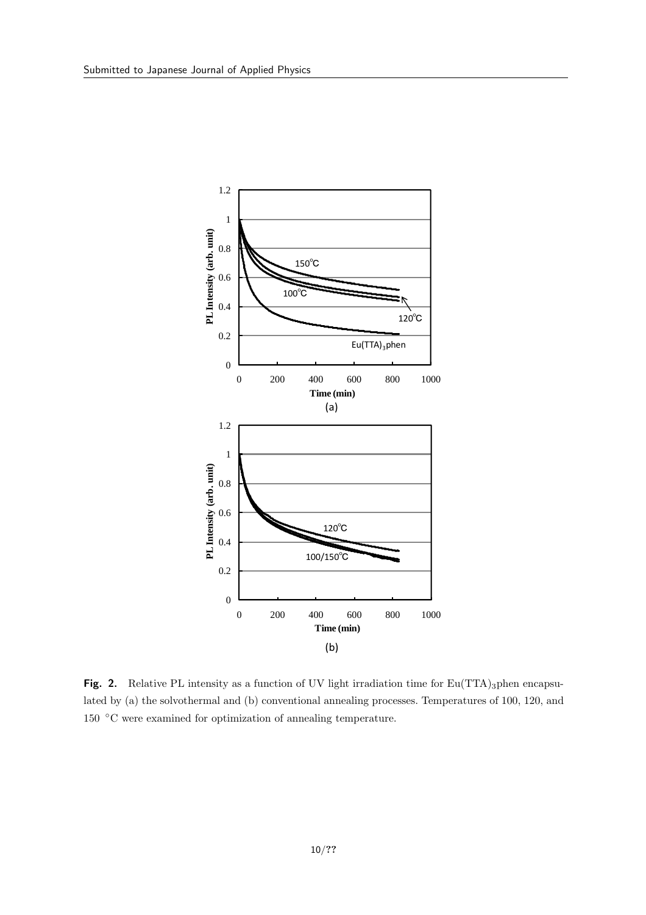

**Fig. 2.** Relative PL intensity as a function of UV light irradiation time for  $Eu(TTA)$ <sub>3</sub>phen encapsulated by (a) the solvothermal and (b) conventional annealing processes. Temperatures of 100, 120, and 150 *◦*C were examined for optimization of annealing temperature.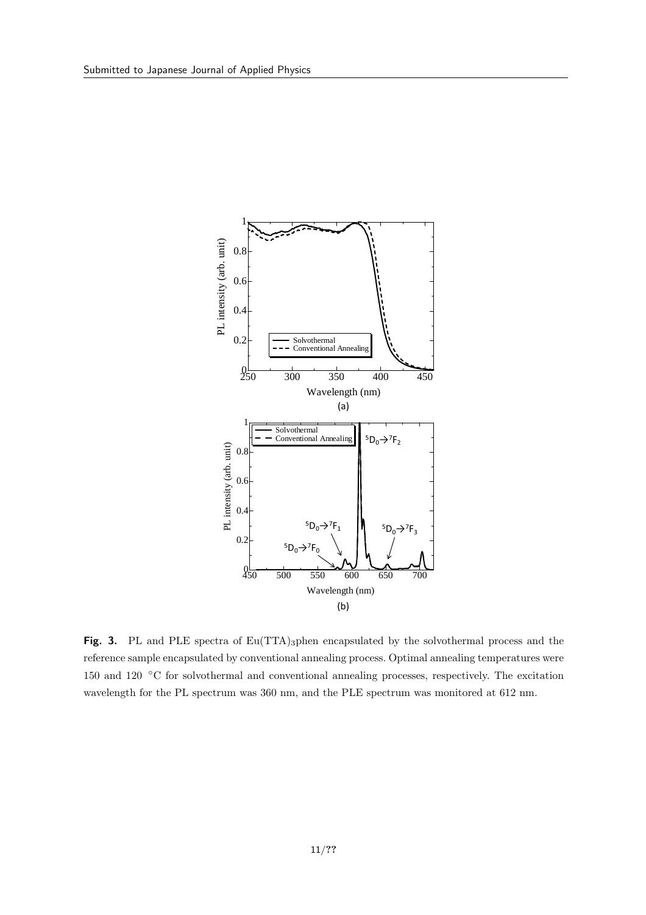

Fig. 3. PL and PLE spectra of Eu(TTA)<sub>3</sub>phen encapsulated by the solvothermal process and the reference sample encapsulated by conventional annealing process. Optimal annealing temperatures were 150 and 120 *◦*C for solvothermal and conventional annealing processes, respectively. The excitation wavelength for the PL spectrum was 360 nm, and the PLE spectrum was monitored at 612 nm.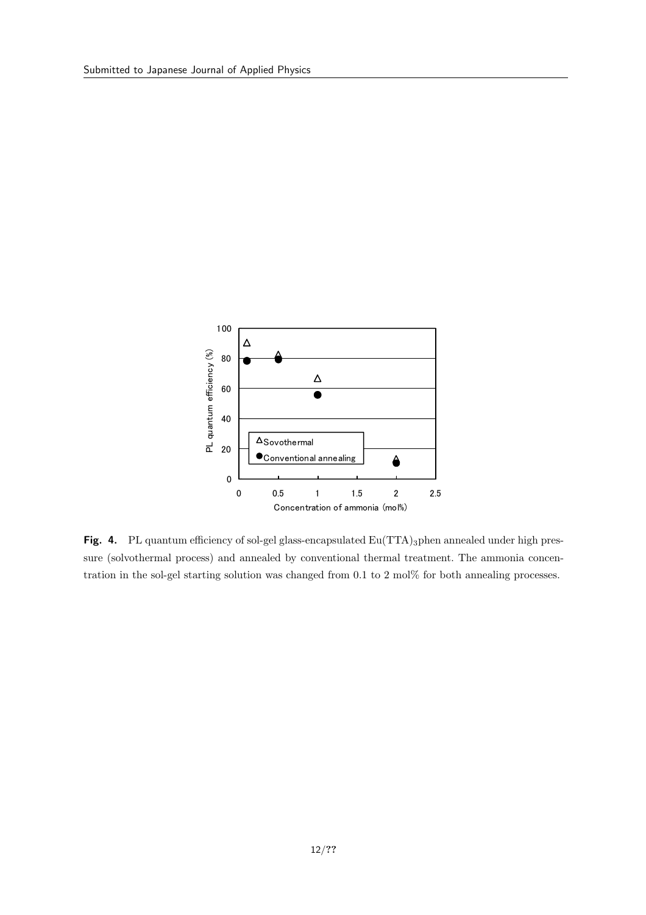

Fig. 4. PL quantum efficiency of sol-gel glass-encapsulated Eu(TTA)<sub>3</sub>phen annealed under high pressure (solvothermal process) and annealed by conventional thermal treatment. The ammonia concentration in the sol-gel starting solution was changed from 0.1 to 2 mol% for both annealing processes.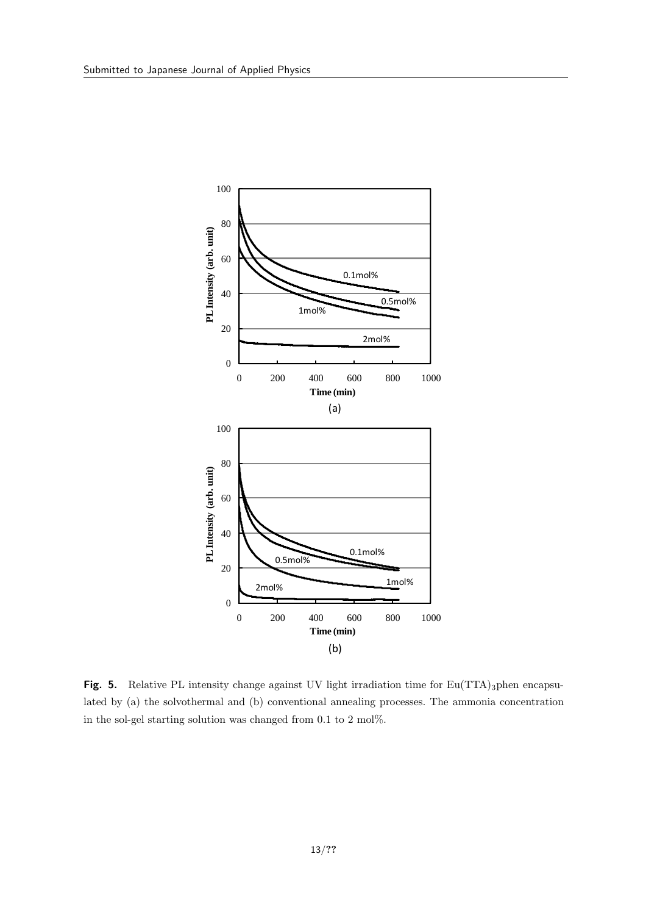

**Fig. 5.** Relative PL intensity change against UV light irradiation time for Eu(TTA)<sub>3</sub>phen encapsulated by (a) the solvothermal and (b) conventional annealing processes. The ammonia concentration in the sol-gel starting solution was changed from 0.1 to 2 mol%.